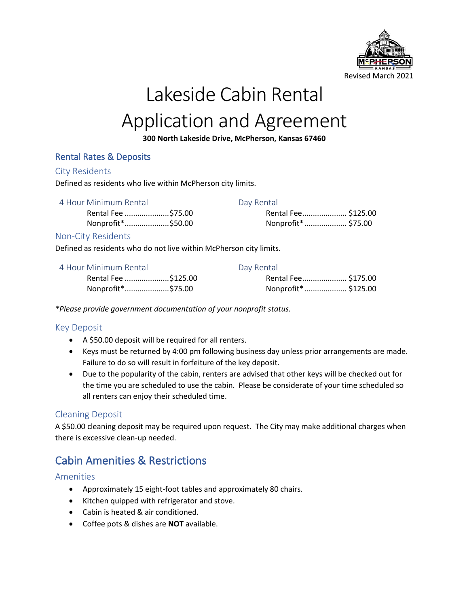

# Lakeside Cabin Rental Application and Agreement

### **300 North Lakeside Drive, McPherson, Kansas 67460**

### Rental Rates & Deposits

#### City Residents

Defined as residents who live within McPherson city limits.

#### 4 Hour Minimum Rental **Day Rental**

Rental Fee .....................\$75.00 Nonprofit\*.....................\$50.00

| ----------          |  |
|---------------------|--|
| Rental Fee \$125.00 |  |
| Nonprofit*  \$75.00 |  |

### Non-City Residents

Defined as residents who do not live within McPherson city limits.

| 4 Hour Minimum Rental | Day Rental           |  |
|-----------------------|----------------------|--|
| Rental Fee \$125.00   | Rental Fee \$175.00  |  |
| Nonprofit*\$75.00     | Nonprofit*  \$125.00 |  |

*\*Please provide government documentation of your nonprofit status.*

### Key Deposit

- A \$50.00 deposit will be required for all renters.
- Keys must be returned by 4:00 pm following business day unless prior arrangements are made. Failure to do so will result in forfeiture of the key deposit.
- Due to the popularity of the cabin, renters are advised that other keys will be checked out for the time you are scheduled to use the cabin. Please be considerate of your time scheduled so all renters can enjoy their scheduled time.

### Cleaning Deposit

A \$50.00 cleaning deposit may be required upon request. The City may make additional charges when there is excessive clean-up needed.

## Cabin Amenities & Restrictions

### Amenities

- Approximately 15 eight-foot tables and approximately 80 chairs.
- Kitchen quipped with refrigerator and stove.
- Cabin is heated & air conditioned.
- Coffee pots & dishes are **NOT** available.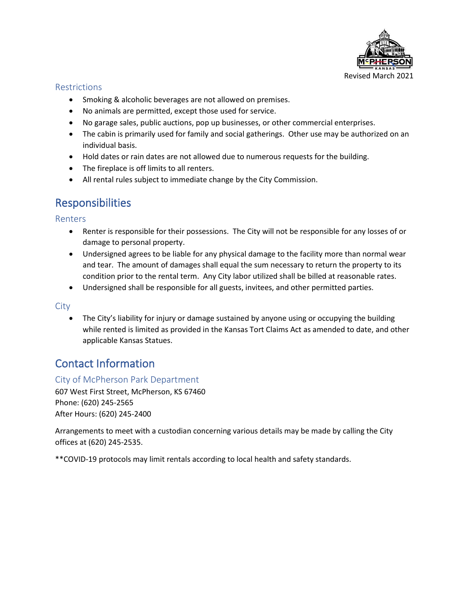

### Restrictions

- Smoking & alcoholic beverages are not allowed on premises.
- No animals are permitted, except those used for service.
- No garage sales, public auctions, pop up businesses, or other commercial enterprises.
- The cabin is primarily used for family and social gatherings. Other use may be authorized on an individual basis.
- Hold dates or rain dates are not allowed due to numerous requests for the building.
- The fireplace is off limits to all renters.
- All rental rules subject to immediate change by the City Commission.

### Responsibilities

Renters

- Renter is responsible for their possessions. The City will not be responsible for any losses of or damage to personal property.
- Undersigned agrees to be liable for any physical damage to the facility more than normal wear and tear. The amount of damages shall equal the sum necessary to return the property to its condition prior to the rental term. Any City labor utilized shall be billed at reasonable rates.
- Undersigned shall be responsible for all guests, invitees, and other permitted parties.

### **City**

• The City's liability for injury or damage sustained by anyone using or occupying the building while rented is limited as provided in the Kansas Tort Claims Act as amended to date, and other applicable Kansas Statues.

## Contact Information

### City of McPherson Park Department

607 West First Street, McPherson, KS 67460 Phone: (620) 245-2565 After Hours: (620) 245-2400

Arrangements to meet with a custodian concerning various details may be made by calling the City offices at (620) 245-2535.

\*\*COVID-19 protocols may limit rentals according to local health and safety standards.